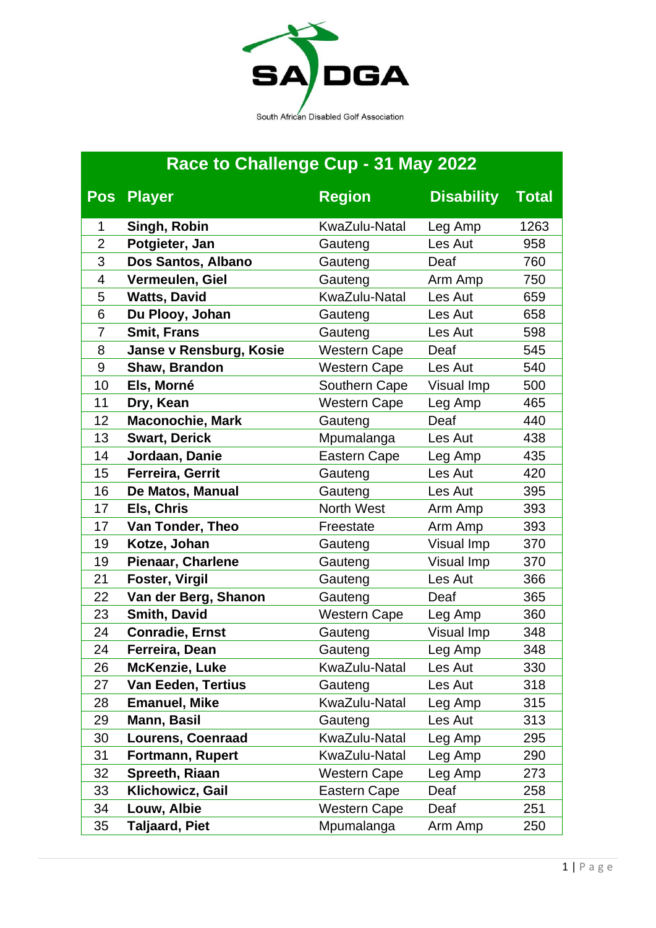

## **Race to Challenge Cup - 31 May 2022**

|                | Pos Player                | <b>Region</b>       | <b>Disability</b> | <b>Total</b> |
|----------------|---------------------------|---------------------|-------------------|--------------|
| 1              | Singh, Robin              | KwaZulu-Natal       | Leg Amp           | 1263         |
| $\overline{2}$ | Potgieter, Jan            | Gauteng             | Les Aut           | 958          |
| 3              | Dos Santos, Albano        | Gauteng             | Deaf              | 760          |
| 4              | Vermeulen, Giel           | Gauteng             | Arm Amp           | 750          |
| 5              | <b>Watts, David</b>       | KwaZulu-Natal       | Les Aut           | 659          |
| 6              | Du Plooy, Johan           | Gauteng             | Les Aut           | 658          |
| $\overline{7}$ | <b>Smit, Frans</b>        | Gauteng             | Les Aut           | 598          |
| 8              | Janse v Rensburg, Kosie   | <b>Western Cape</b> | Deaf              | 545          |
| $9\,$          | Shaw, Brandon             | <b>Western Cape</b> | Les Aut           | 540          |
| 10             | Els, Morné                | Southern Cape       | Visual Imp        | 500          |
| 11             | Dry, Kean                 | <b>Western Cape</b> | Leg Amp           | 465          |
| 12             | <b>Maconochie, Mark</b>   | Gauteng             | Deaf              | 440          |
| 13             | <b>Swart, Derick</b>      | Mpumalanga          | Les Aut           | 438          |
| 14             | Jordaan, Danie            | <b>Eastern Cape</b> | Leg Amp           | 435          |
| 15             | Ferreira, Gerrit          | Gauteng             | Les Aut           | 420          |
| 16             | De Matos, Manual          | Gauteng             | Les Aut           | 395          |
| 17             | Els, Chris                | <b>North West</b>   | Arm Amp           | 393          |
| 17             | Van Tonder, Theo          | Freestate           | Arm Amp           | 393          |
| 19             | Kotze, Johan              | Gauteng             | Visual Imp        | 370          |
| 19             | <b>Pienaar, Charlene</b>  | Gauteng             | Visual Imp        | 370          |
| 21             | <b>Foster, Virgil</b>     | Gauteng             | Les Aut           | 366          |
| 22             | Van der Berg, Shanon      | Gauteng             | Deaf              | 365          |
| 23             | <b>Smith, David</b>       | <b>Western Cape</b> | Leg Amp           | 360          |
| 24             | <b>Conradie, Ernst</b>    | Gauteng             | Visual Imp        | 348          |
| 24             | Ferreira, Dean            | Gauteng             | Leg Amp           | 348          |
| 26             | <b>McKenzie, Luke</b>     | KwaZulu-Natal       | Les Aut           | 330          |
| 27             | <b>Van Eeden, Tertius</b> | Gauteng             | Les Aut           | 318          |
| 28             | <b>Emanuel, Mike</b>      | KwaZulu-Natal       | Leg Amp           | 315          |
| 29             | Mann, Basil               | Gauteng             | Les Aut           | 313          |
| 30             | <b>Lourens, Coenraad</b>  | KwaZulu-Natal       | Leg Amp           | 295          |
| 31             | <b>Fortmann, Rupert</b>   | KwaZulu-Natal       | Leg Amp           | 290          |
| 32             | Spreeth, Riaan            | <b>Western Cape</b> | Leg Amp           | 273          |
| 33             | Klichowicz, Gail          | Eastern Cape        | Deaf              | 258          |
| 34             | Louw, Albie               | <b>Western Cape</b> | Deaf              | 251          |
| 35             | <b>Taljaard, Piet</b>     | Mpumalanga          | Arm Amp           | 250          |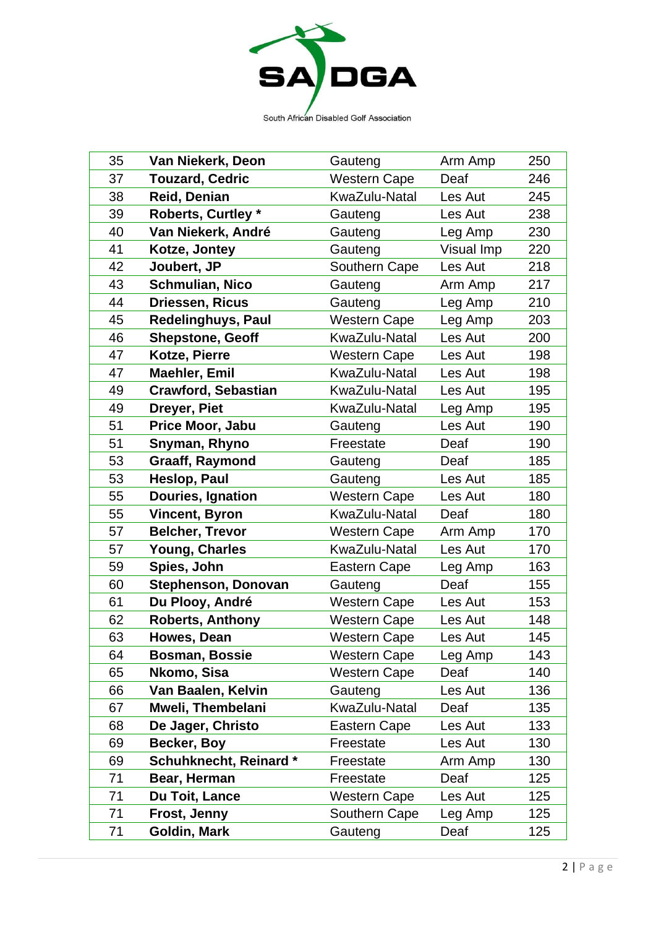

| 35 | Van Niekerk, Deon          | Gauteng             | Arm Amp    | 250 |
|----|----------------------------|---------------------|------------|-----|
| 37 | <b>Touzard, Cedric</b>     | <b>Western Cape</b> | Deaf       | 246 |
| 38 | Reid, Denian               | KwaZulu-Natal       | Les Aut    | 245 |
| 39 | <b>Roberts, Curtley *</b>  | Gauteng             | Les Aut    | 238 |
| 40 | Van Niekerk, André         | Gauteng             | Leg Amp    | 230 |
| 41 | Kotze, Jontey              | Gauteng             | Visual Imp | 220 |
| 42 | Joubert, JP                | Southern Cape       | Les Aut    | 218 |
| 43 | <b>Schmulian, Nico</b>     | Gauteng             | Arm Amp    | 217 |
| 44 | <b>Driessen, Ricus</b>     | Gauteng             | Leg Amp    | 210 |
| 45 | Redelinghuys, Paul         | <b>Western Cape</b> | Leg Amp    | 203 |
| 46 | <b>Shepstone, Geoff</b>    | KwaZulu-Natal       | Les Aut    | 200 |
| 47 | Kotze, Pierre              | <b>Western Cape</b> | Les Aut    | 198 |
| 47 | <b>Maehler, Emil</b>       | KwaZulu-Natal       | Les Aut    | 198 |
| 49 | <b>Crawford, Sebastian</b> | KwaZulu-Natal       | Les Aut    | 195 |
| 49 | Dreyer, Piet               | KwaZulu-Natal       | Leg Amp    | 195 |
| 51 | Price Moor, Jabu           | Gauteng             | Les Aut    | 190 |
| 51 | Snyman, Rhyno              | Freestate           | Deaf       | 190 |
| 53 | <b>Graaff, Raymond</b>     | Gauteng             | Deaf       | 185 |
| 53 | Heslop, Paul               | Gauteng             | Les Aut    | 185 |
| 55 | Douries, Ignation          | <b>Western Cape</b> | Les Aut    | 180 |
| 55 | <b>Vincent, Byron</b>      | KwaZulu-Natal       | Deaf       | 180 |
| 57 | <b>Belcher, Trevor</b>     | <b>Western Cape</b> | Arm Amp    | 170 |
| 57 | Young, Charles             | KwaZulu-Natal       | Les Aut    | 170 |
| 59 | Spies, John                | Eastern Cape        | Leg Amp    | 163 |
| 60 | <b>Stephenson, Donovan</b> | Gauteng             | Deaf       | 155 |
| 61 | Du Plooy, André            | <b>Western Cape</b> | Les Aut    | 153 |
| 62 | <b>Roberts, Anthony</b>    | <b>Western Cape</b> | Les Aut    | 148 |
| 63 | Howes, Dean                | <b>Western Cape</b> | Les Aut    | 145 |
| 64 | <b>Bosman, Bossie</b>      | <b>Western Cape</b> | Leg Amp    | 143 |
| 65 | Nkomo, Sisa                | <b>Western Cape</b> | Deaf       | 140 |
| 66 | Van Baalen, Kelvin         | Gauteng             | Les Aut    | 136 |
| 67 | Mweli, Thembelani          | KwaZulu-Natal       | Deaf       | 135 |
| 68 | De Jager, Christo          | Eastern Cape        | Les Aut    | 133 |
| 69 | Becker, Boy                | Freestate           | Les Aut    | 130 |
| 69 | Schuhknecht, Reinard*      | Freestate           | Arm Amp    | 130 |
| 71 | Bear, Herman               | Freestate           | Deaf       | 125 |
| 71 | Du Toit, Lance             | <b>Western Cape</b> | Les Aut    | 125 |
| 71 | Frost, Jenny               | Southern Cape       | Leg Amp    | 125 |
| 71 | Goldin, Mark               | Gauteng             | Deaf       | 125 |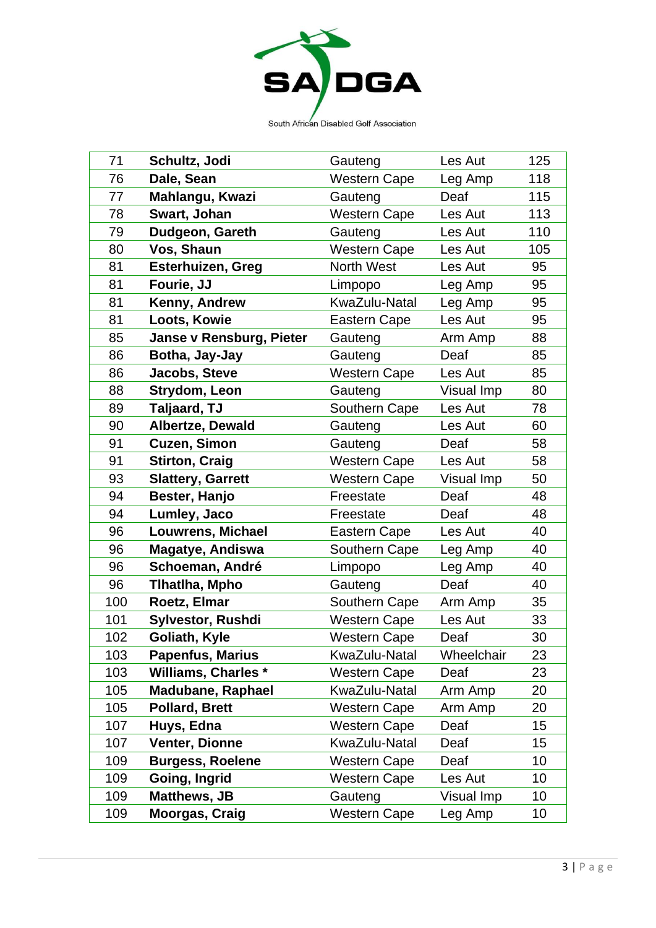

South African Disabled Golf Association

| 71  | Schultz, Jodi                   | Gauteng             | Les Aut    | 125 |
|-----|---------------------------------|---------------------|------------|-----|
| 76  | Dale, Sean                      | <b>Western Cape</b> | Leg Amp    | 118 |
| 77  | Mahlangu, Kwazi                 | Gauteng             | Deaf       | 115 |
| 78  | Swart, Johan                    | <b>Western Cape</b> | Les Aut    | 113 |
| 79  | Dudgeon, Gareth                 | Gauteng             | Les Aut    | 110 |
| 80  | Vos, Shaun                      | <b>Western Cape</b> | Les Aut    | 105 |
| 81  | <b>Esterhuizen, Greg</b>        | North West          | Les Aut    | 95  |
| 81  | Fourie, JJ                      | Limpopo             | Leg Amp    | 95  |
| 81  | Kenny, Andrew                   | KwaZulu-Natal       | Leg Amp    | 95  |
| 81  | Loots, Kowie                    | Eastern Cape        | Les Aut    | 95  |
| 85  | <b>Janse v Rensburg, Pieter</b> | Gauteng             | Arm Amp    | 88  |
| 86  | Botha, Jay-Jay                  | Gauteng             | Deaf       | 85  |
| 86  | <b>Jacobs, Steve</b>            | <b>Western Cape</b> | Les Aut    | 85  |
| 88  | Strydom, Leon                   | Gauteng             | Visual Imp | 80  |
| 89  | Taljaard, TJ                    | Southern Cape       | Les Aut    | 78  |
| 90  | <b>Albertze, Dewald</b>         | Gauteng             | Les Aut    | 60  |
| 91  | <b>Cuzen, Simon</b>             | Gauteng             | Deaf       | 58  |
| 91  | <b>Stirton, Craig</b>           | <b>Western Cape</b> | Les Aut    | 58  |
| 93  | <b>Slattery, Garrett</b>        | <b>Western Cape</b> | Visual Imp | 50  |
| 94  | Bester, Hanjo                   | Freestate           | Deaf       | 48  |
| 94  | Lumley, Jaco                    | Freestate           | Deaf       | 48  |
| 96  | Louwrens, Michael               | Eastern Cape        | Les Aut    | 40  |
| 96  | <b>Magatye, Andiswa</b>         | Southern Cape       | Leg Amp    | 40  |
| 96  | Schoeman, André                 | Limpopo             | Leg Amp    | 40  |
| 96  | Tlhatlha, Mpho                  | Gauteng             | Deaf       | 40  |
| 100 | Roetz, Elmar                    | Southern Cape       | Arm Amp    | 35  |
| 101 | <b>Sylvestor, Rushdi</b>        | <b>Western Cape</b> | Les Aut    | 33  |
| 102 | Goliath, Kyle                   | <b>Western Cape</b> | Deaf       | 30  |
| 103 | <b>Papenfus, Marius</b>         | KwaZulu-Natal       | Wheelchair | 23  |
| 103 | <b>Williams, Charles *</b>      | <b>Western Cape</b> | Deaf       | 23  |
| 105 | <b>Madubane, Raphael</b>        | KwaZulu-Natal       | Arm Amp    | 20  |
| 105 | <b>Pollard, Brett</b>           | Western Cape        | Arm Amp    | 20  |
| 107 | Huys, Edna                      | <b>Western Cape</b> | Deaf       | 15  |
| 107 | Venter, Dionne                  | KwaZulu-Natal       | Deaf       | 15  |
| 109 | <b>Burgess, Roelene</b>         | <b>Western Cape</b> | Deaf       | 10  |
| 109 | Going, Ingrid                   | <b>Western Cape</b> | Les Aut    | 10  |
| 109 | <b>Matthews, JB</b>             | Gauteng             | Visual Imp | 10  |
| 109 | <b>Moorgas, Craig</b>           | <b>Western Cape</b> | Leg Amp    | 10  |